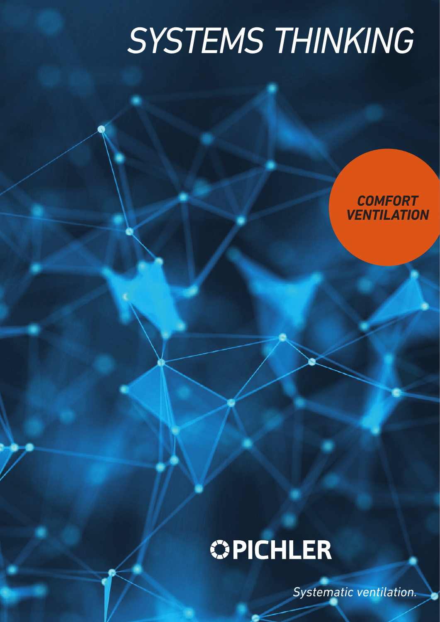# *SYSTEMS THINKING*

*COMFORT VENTILATION*

## **OPICHLER**

*Systematic ventilation.*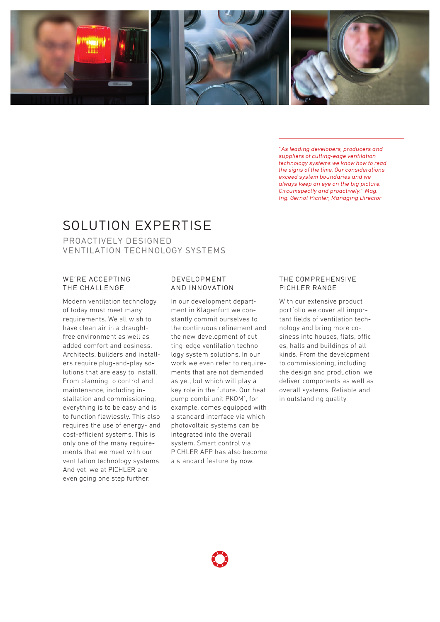

"As leading developers, producers and suppliers of cutting-edge ventilation technology systems we know how to read the signs of the time. Our considerations exceed system boundaries and we always keep an eye on the big picture. Circumspectly and proactively." Mag. Ing. Gernot Pichler, Managing Director

## SOLUTION EXPERTISE

PROACTIVELY DESIGNED VENTILATION TECHNOLOGY SYSTEMS

### WE'RE ACCEPTING THE CHALLENGE

Modern ventilation technology of today must meet many requirements. We all wish to have clean air in a draughtfree environment as well as added comfort and cosiness. Architects, builders and installers require plug-and-play solutions that are easy to install. From planning to control and maintenance, including installation and commissioning, everything is to be easy and is to function flawlessly. This also requires the use of energy- and cost-efficient systems. This is only one of the many requirements that we meet with our ventilation technology systems. And yet, we at PICHLER are even going one step further.

## DEVELOPMENT AND INNOVATION

In our development department in Klagenfurt we constantly commit ourselves to the continuous refinement and the new development of cutting-edge ventilation technology system solutions. In our work we even refer to requirements that are not demanded as yet, but which will play a key role in the future. Our heat pump combi unit PKOM<sup>4</sup>, for example, comes equipped with a standard interface via which photovoltaic systems can be integrated into the overall system. Smart control via PICHLER APP has also become a standard feature by now.

#### THE COMPREHENSIVE PICHLER RANGE

With our extensive product portfolio we cover all important fields of ventilation technology and bring more cosiness into houses, flats, offices, halls and buildings of all kinds. From the development to commissioning, including the design and production, we deliver components as well as overall systems. Reliable and in outstanding quality.

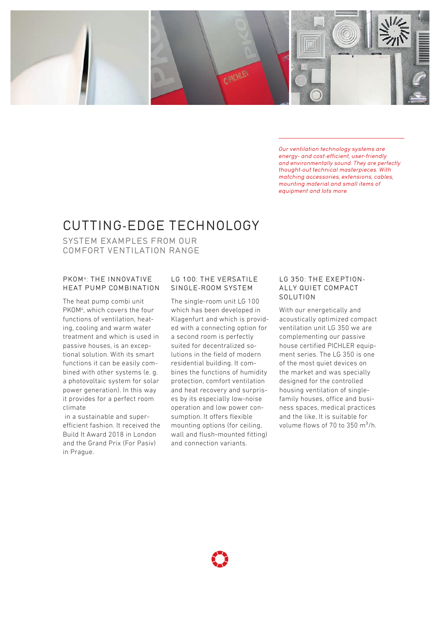

Our ventilation technology systems are energy- and cost-efficient, user-friendly and environmentally sound. They are perfectly thought-out technical masterpieces. With matching accessories, extensions, cables, mounting material and small items of equipment and lots more.

## CUTTING-EDGE TECHNOLOGY

SYSTEM EXAMPLES FROM OUR COMFORT VENTILATION RANGE

## PKOM4: THE INNOVATIVE HEAT PUMP COMBINATION

The heat pump combi unit PKOM<sup>4</sup>, which covers the four functions of ventilation, heating, cooling and warm water treatment and which is used in passive houses, is an exceptional solution. With its smart functions it can be easily combined with other systems (e. g. a photovoltaic system for solar power generation). In this way it provides for a perfect room climate

 in a sustainable and superefficient fashion. It received the Build It Award 2018 in London and the Grand Prix (For Pasiv) in Prague.

## LG 100: THE VERSATILE SINGLE-ROOM SYSTEM

The single-room unit LG 100 which has been developed in Klagenfurt and which is provided with a connecting option for a second room is perfectly suited for decentralized solutions in the field of modern residential building. It combines the functions of humidity protection, comfort ventilation and heat recovery and surprises by its especially low-noise operation and low power consumption. It offers flexible mounting options (for ceiling, wall and flush-mounted fitting) and connection variants.

### LG 350: THE EXEPTION-ALLY QUIET COMPACT SOLUTION

With our energetically and acoustically optimized compact ventilation unit LG 350 we are complementing our passive house certified PICHLER equipment series. The LG 350 is one of the most quiet devices on the market and was specially designed for the controlled housing ventilation of singlefamily houses, office and business spaces, medical practices and the like. It is suitable for volume flows of  $70$  to  $350 \text{ m}^3/h$ .